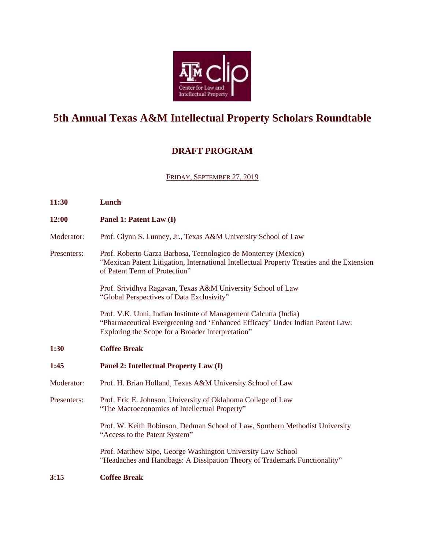

# **5th Annual Texas A&M Intellectual Property Scholars Roundtable**

# **DRAFT PROGRAM**

FRIDAY, SEPTEMBER 27, 2019

| 11:30       | Lunch                                                                                                                                                                                                  |
|-------------|--------------------------------------------------------------------------------------------------------------------------------------------------------------------------------------------------------|
| 12:00       | Panel 1: Patent Law (I)                                                                                                                                                                                |
| Moderator:  | Prof. Glynn S. Lunney, Jr., Texas A&M University School of Law                                                                                                                                         |
| Presenters: | Prof. Roberto Garza Barbosa, Tecnologico de Monterrey (Mexico)<br>"Mexican Patent Litigation, International Intellectual Property Treaties and the Extension<br>of Patent Term of Protection"          |
|             | Prof. Srividhya Ragavan, Texas A&M University School of Law<br>"Global Perspectives of Data Exclusivity"                                                                                               |
|             | Prof. V.K. Unni, Indian Institute of Management Calcutta (India)<br>"Pharmaceutical Evergreening and 'Enhanced Efficacy' Under Indian Patent Law:<br>Exploring the Scope for a Broader Interpretation" |
| 1:30        | <b>Coffee Break</b>                                                                                                                                                                                    |
| 1:45        | Panel 2: Intellectual Property Law (I)                                                                                                                                                                 |
| Moderator:  | Prof. H. Brian Holland, Texas A&M University School of Law                                                                                                                                             |
| Presenters: | Prof. Eric E. Johnson, University of Oklahoma College of Law<br>"The Macroeconomics of Intellectual Property"                                                                                          |
|             | Prof. W. Keith Robinson, Dedman School of Law, Southern Methodist University<br>"Access to the Patent System"                                                                                          |
|             | Prof. Matthew Sipe, George Washington University Law School<br>"Headaches and Handbags: A Dissipation Theory of Trademark Functionality"                                                               |
| 3:15        | <b>Coffee Break</b>                                                                                                                                                                                    |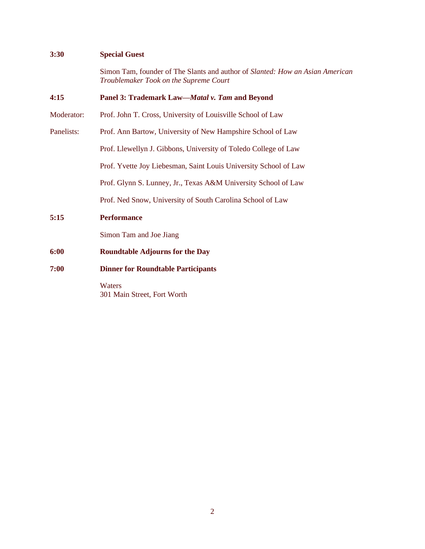# **3:30 Special Guest**

Simon Tam, founder of The Slants and author of *Slanted: How an Asian American Troublemaker Took on the Supreme Court*

| 4:15       | Panel 3: Trademark Law-Matal v. Tam and Beyond                   |
|------------|------------------------------------------------------------------|
| Moderator: | Prof. John T. Cross, University of Louisville School of Law      |
| Panelists: | Prof. Ann Bartow, University of New Hampshire School of Law      |
|            | Prof. Llewellyn J. Gibbons, University of Toledo College of Law  |
|            | Prof. Yvette Joy Liebesman, Saint Louis University School of Law |
|            | Prof. Glynn S. Lunney, Jr., Texas A&M University School of Law   |
|            | Prof. Ned Snow, University of South Carolina School of Law       |
| 5:15       | <b>Performance</b>                                               |
|            | Simon Tam and Joe Jiang                                          |
| 6:00       | <b>Roundtable Adjourns for the Day</b>                           |
| 7:00       | <b>Dinner for Roundtable Participants</b>                        |
|            | Waters<br>301 Main Street, Fort Worth                            |
|            |                                                                  |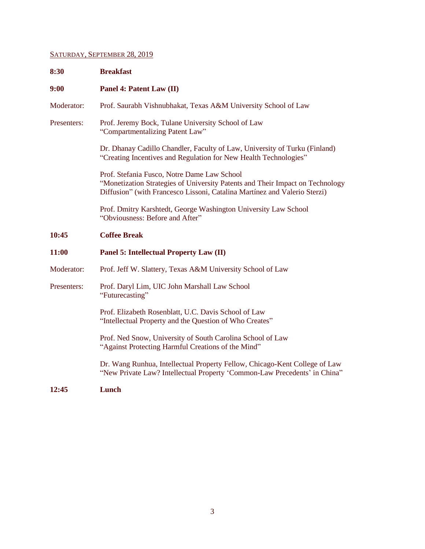# SATURDAY, SEPTEMBER 28, 2019

| 8:30         | <b>Breakfast</b>                                                                                                                                                                                          |
|--------------|-----------------------------------------------------------------------------------------------------------------------------------------------------------------------------------------------------------|
| 9:00         | Panel 4: Patent Law (II)                                                                                                                                                                                  |
| Moderator:   | Prof. Saurabh Vishnubhakat, Texas A&M University School of Law                                                                                                                                            |
| Presenters:  | Prof. Jeremy Bock, Tulane University School of Law<br>"Compartmentalizing Patent Law"                                                                                                                     |
|              | Dr. Dhanay Cadillo Chandler, Faculty of Law, University of Turku (Finland)<br>"Creating Incentives and Regulation for New Health Technologies"                                                            |
|              | Prof. Stefania Fusco, Notre Dame Law School<br>"Monetization Strategies of University Patents and Their Impact on Technology<br>Diffusion" (with Francesco Lissoni, Catalina Martínez and Valerio Sterzi) |
|              | Prof. Dmitry Karshtedt, George Washington University Law School<br>"Obviousness: Before and After"                                                                                                        |
| 10:45        | <b>Coffee Break</b>                                                                                                                                                                                       |
| <b>11:00</b> | <b>Panel 5: Intellectual Property Law (II)</b>                                                                                                                                                            |
| Moderator:   | Prof. Jeff W. Slattery, Texas A&M University School of Law                                                                                                                                                |
| Presenters:  | Prof. Daryl Lim, UIC John Marshall Law School<br>"Futurecasting"                                                                                                                                          |
|              | Prof. Elizabeth Rosenblatt, U.C. Davis School of Law<br>"Intellectual Property and the Question of Who Creates"                                                                                           |
|              | Prof. Ned Snow, University of South Carolina School of Law<br>"Against Protecting Harmful Creations of the Mind"                                                                                          |
|              | Dr. Wang Runhua, Intellectual Property Fellow, Chicago-Kent College of Law<br>"New Private Law? Intellectual Property 'Common-Law Precedents' in China"                                                   |
| 12:45        | Lunch                                                                                                                                                                                                     |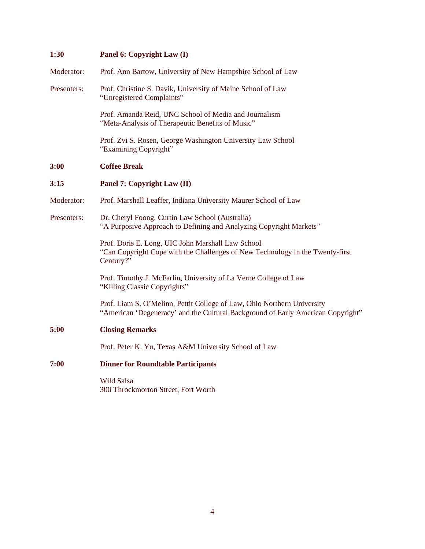| 1:30        | Panel 6: Copyright Law (I)                                                                                                                                 |
|-------------|------------------------------------------------------------------------------------------------------------------------------------------------------------|
| Moderator:  | Prof. Ann Bartow, University of New Hampshire School of Law                                                                                                |
| Presenters: | Prof. Christine S. Davik, University of Maine School of Law<br>"Unregistered Complaints"                                                                   |
|             | Prof. Amanda Reid, UNC School of Media and Journalism<br>"Meta-Analysis of Therapeutic Benefits of Music"                                                  |
|             | Prof. Zvi S. Rosen, George Washington University Law School<br>"Examining Copyright"                                                                       |
| 3:00        | <b>Coffee Break</b>                                                                                                                                        |
| 3:15        | Panel 7: Copyright Law (II)                                                                                                                                |
| Moderator:  | Prof. Marshall Leaffer, Indiana University Maurer School of Law                                                                                            |
| Presenters: | Dr. Cheryl Foong, Curtin Law School (Australia)<br>"A Purposive Approach to Defining and Analyzing Copyright Markets"                                      |
|             | Prof. Doris E. Long, UIC John Marshall Law School<br>"Can Copyright Cope with the Challenges of New Technology in the Twenty-first<br>Century?"            |
|             | Prof. Timothy J. McFarlin, University of La Verne College of Law<br>"Killing Classic Copyrights"                                                           |
|             | Prof. Liam S. O'Melinn, Pettit College of Law, Ohio Northern University<br>"American 'Degeneracy' and the Cultural Background of Early American Copyright" |
| 5:00        | <b>Closing Remarks</b>                                                                                                                                     |
|             | Prof. Peter K. Yu, Texas A&M University School of Law                                                                                                      |
| 7:00        | <b>Dinner for Roundtable Participants</b>                                                                                                                  |
|             | <b>Wild Salsa</b><br>300 Throckmorton Street, Fort Worth                                                                                                   |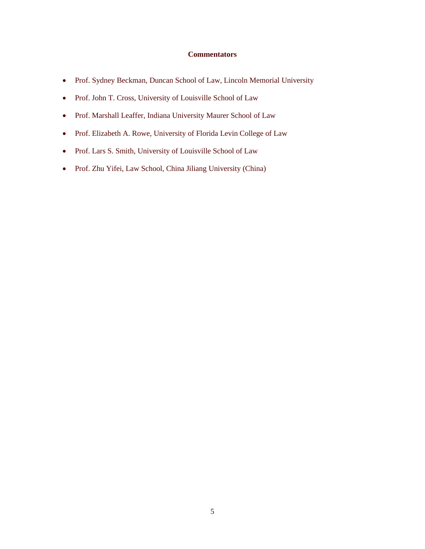## **Commentators**

- Prof. Sydney Beckman, Duncan School of Law, Lincoln Memorial University
- Prof. John T. Cross, University of Louisville School of Law
- Prof. Marshall Leaffer, Indiana University Maurer School of Law
- Prof. Elizabeth A. Rowe, University of Florida Levin College of Law
- Prof. Lars S. Smith, University of Louisville School of Law
- Prof. Zhu Yifei, Law School, China Jiliang University (China)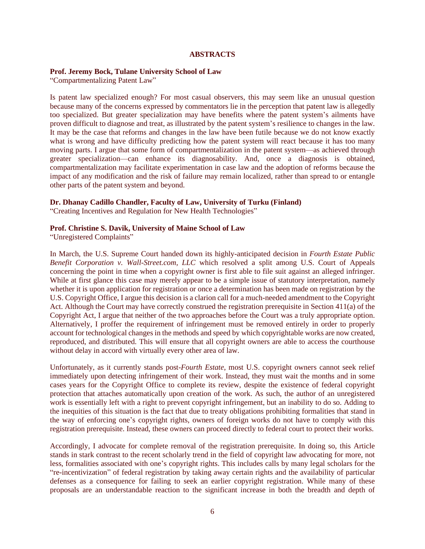#### **ABSTRACTS**

#### **Prof. Jeremy Bock, Tulane University School of Law**

"Compartmentalizing Patent Law"

Is patent law specialized enough? For most casual observers, this may seem like an unusual question because many of the concerns expressed by commentators lie in the perception that patent law is allegedly too specialized. But greater specialization may have benefits where the patent system's ailments have proven difficult to diagnose and treat, as illustrated by the patent system's resilience to changes in the law. It may be the case that reforms and changes in the law have been futile because we do not know exactly what is wrong and have difficulty predicting how the patent system will react because it has too many moving parts. I argue that some form of compartmentalization in the patent system—as achieved through greater specialization—can enhance its diagnosability. And, once a diagnosis is obtained, compartmentalization may facilitate experimentation in case law and the adoption of reforms because the impact of any modification and the risk of failure may remain localized, rather than spread to or entangle other parts of the patent system and beyond.

#### **Dr. Dhanay Cadillo Chandler, Faculty of Law, University of Turku (Finland)**

"Creating Incentives and Regulation for New Health Technologies"

## **Prof. Christine S. Davik, University of Maine School of Law**

"Unregistered Complaints"

In March, the U.S. Supreme Court handed down its highly-anticipated decision in *Fourth Estate Public Benefit Corporation v. Wall-Street.com, LLC* which resolved a split among U.S. Court of Appeals concerning the point in time when a copyright owner is first able to file suit against an alleged infringer. While at first glance this case may merely appear to be a simple issue of statutory interpretation, namely whether it is upon application for registration or once a determination has been made on registration by the U.S. Copyright Office, I argue this decision is a clarion call for a much-needed amendment to the Copyright Act. Although the Court may have correctly construed the registration prerequisite in Section 411(a) of the Copyright Act, I argue that neither of the two approaches before the Court was a truly appropriate option. Alternatively, I proffer the requirement of infringement must be removed entirely in order to properly account for technological changes in the methods and speed by which copyrightable works are now created, reproduced, and distributed. This will ensure that all copyright owners are able to access the courthouse without delay in accord with virtually every other area of law.

Unfortunately, as it currently stands post-*Fourth Estate*, most U.S. copyright owners cannot seek relief immediately upon detecting infringement of their work. Instead, they must wait the months and in some cases years for the Copyright Office to complete its review, despite the existence of federal copyright protection that attaches automatically upon creation of the work. As such, the author of an unregistered work is essentially left with a right to prevent copyright infringement, but an inability to do so. Adding to the inequities of this situation is the fact that due to treaty obligations prohibiting formalities that stand in the way of enforcing one's copyright rights, owners of foreign works do not have to comply with this registration prerequisite. Instead, these owners can proceed directly to federal court to protect their works.

Accordingly, I advocate for complete removal of the registration prerequisite. In doing so, this Article stands in stark contrast to the recent scholarly trend in the field of copyright law advocating for more, not less, formalities associated with one's copyright rights. This includes calls by many legal scholars for the "re-incentivization" of federal registration by taking away certain rights and the availability of particular defenses as a consequence for failing to seek an earlier copyright registration. While many of these proposals are an understandable reaction to the significant increase in both the breadth and depth of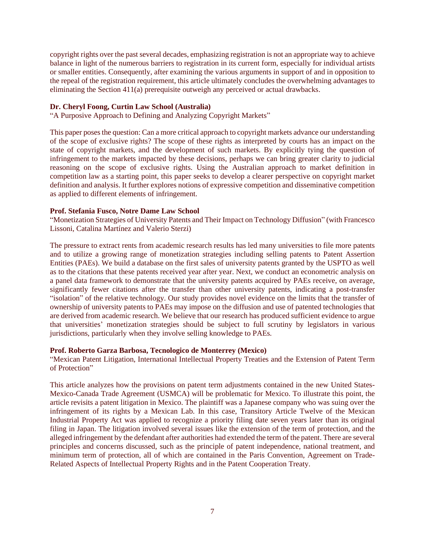copyright rights over the past several decades, emphasizing registration is not an appropriate way to achieve balance in light of the numerous barriers to registration in its current form, especially for individual artists or smaller entities. Consequently, after examining the various arguments in support of and in opposition to the repeal of the registration requirement, this article ultimately concludes the overwhelming advantages to eliminating the Section 411(a) prerequisite outweigh any perceived or actual drawbacks.

#### **Dr. Cheryl Foong, Curtin Law School (Australia)**

"A Purposive Approach to Defining and Analyzing Copyright Markets"

This paper poses the question: Can a more critical approach to copyright markets advance our understanding of the scope of exclusive rights? The scope of these rights as interpreted by courts has an impact on the state of copyright markets, and the development of such markets. By explicitly tying the question of infringement to the markets impacted by these decisions, perhaps we can bring greater clarity to judicial reasoning on the scope of exclusive rights. Using the Australian approach to market definition in competition law as a starting point, this paper seeks to develop a clearer perspective on copyright market definition and analysis. It further explores notions of expressive competition and disseminative competition as applied to different elements of infringement.

### **Prof. Stefania Fusco, Notre Dame Law School**

"Monetization Strategies of University Patents and Their Impact on Technology Diffusion" (with Francesco Lissoni, Catalina Martínez and Valerio Sterzi)

The pressure to extract rents from academic research results has led many universities to file more patents and to utilize a growing range of monetization strategies including selling patents to Patent Assertion Entities (PAEs). We build a database on the first sales of university patents granted by the USPTO as well as to the citations that these patents received year after year. Next, we conduct an econometric analysis on a panel data framework to demonstrate that the university patents acquired by PAEs receive, on average, significantly fewer citations after the transfer than other university patents, indicating a post-transfer "isolation" of the relative technology. Our study provides novel evidence on the limits that the transfer of ownership of university patents to PAEs may impose on the diffusion and use of patented technologies that are derived from academic research. We believe that our research has produced sufficient evidence to argue that universities' monetization strategies should be subject to full scrutiny by legislators in various jurisdictions, particularly when they involve selling knowledge to PAEs.

# **Prof. Roberto Garza Barbosa, Tecnologico de Monterrey (Mexico)**

"Mexican Patent Litigation, International Intellectual Property Treaties and the Extension of Patent Term of Protection"

This article analyzes how the provisions on patent term adjustments contained in the new United States-Mexico-Canada Trade Agreement (USMCA) will be problematic for Mexico. To illustrate this point, the article revisits a patent litigation in Mexico. The plaintiff was a Japanese company who was suing over the infringement of its rights by a Mexican Lab. In this case, Transitory Article Twelve of the Mexican Industrial Property Act was applied to recognize a priority filing date seven years later than its original filing in Japan. The litigation involved several issues like the extension of the term of protection, and the alleged infringement by the defendant after authorities had extended the term of the patent. There are several principles and concerns discussed, such as the principle of patent independence, national treatment, and minimum term of protection, all of which are contained in the Paris Convention, Agreement on Trade-Related Aspects of Intellectual Property Rights and in the Patent Cooperation Treaty.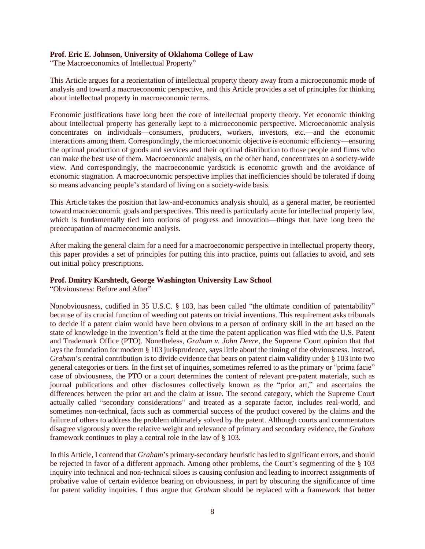### **Prof. Eric E. Johnson, University of Oklahoma College of Law**

"The Macroeconomics of Intellectual Property"

This Article argues for a reorientation of intellectual property theory away from a microeconomic mode of analysis and toward a macroeconomic perspective, and this Article provides a set of principles for thinking about intellectual property in macroeconomic terms.

Economic justifications have long been the core of intellectual property theory. Yet economic thinking about intellectual property has generally kept to a microeconomic perspective. Microeconomic analysis concentrates on individuals—consumers, producers, workers, investors, etc.—and the economic interactions among them. Correspondingly, the microeconomic objective is economic efficiency—ensuring the optimal production of goods and services and their optimal distribution to those people and firms who can make the best use of them. Macroeconomic analysis, on the other hand, concentrates on a society-wide view. And correspondingly, the macroeconomic yardstick is economic growth and the avoidance of economic stagnation. A macroeconomic perspective implies that inefficiencies should be tolerated if doing so means advancing people's standard of living on a society-wide basis.

This Article takes the position that law-and-economics analysis should, as a general matter, be reoriented toward macroeconomic goals and perspectives. This need is particularly acute for intellectual property law, which is fundamentally tied into notions of progress and innovation—things that have long been the preoccupation of macroeconomic analysis.

After making the general claim for a need for a macroeconomic perspective in intellectual property theory, this paper provides a set of principles for putting this into practice, points out fallacies to avoid, and sets out initial policy prescriptions.

#### **Prof. Dmitry Karshtedt, George Washington University Law School**

"Obviousness: Before and After"

Nonobviousness, codified in 35 U.S.C. § 103, has been called "the ultimate condition of patentability" because of its crucial function of weeding out patents on trivial inventions. This requirement asks tribunals to decide if a patent claim would have been obvious to a person of ordinary skill in the art based on the state of knowledge in the invention's field at the time the patent application was filed with the U.S. Patent and Trademark Office (PTO). Nonetheless, *Graham v. John Deere*, the Supreme Court opinion that that lays the foundation for modern § 103 jurisprudence, says little about the timing of the obviousness. Instead, *Graham*'s central contribution is to divide evidence that bears on patent claim validity under § 103 into two general categories or tiers. In the first set of inquiries, sometimes referred to as the primary or "prima facie" case of obviousness, the PTO or a court determines the content of relevant pre-patent materials, such as journal publications and other disclosures collectively known as the "prior art," and ascertains the differences between the prior art and the claim at issue. The second category, which the Supreme Court actually called "secondary considerations" and treated as a separate factor, includes real-world, and sometimes non-technical, facts such as commercial success of the product covered by the claims and the failure of others to address the problem ultimately solved by the patent. Although courts and commentators disagree vigorously over the relative weight and relevance of primary and secondary evidence, the *Graham* framework continues to play a central role in the law of § 103.

In this Article, I contend that *Graham*'s primary-secondary heuristic hasled to significant errors, and should be rejected in favor of a different approach. Among other problems, the Court's segmenting of the § 103 inquiry into technical and non-technical siloes is causing confusion and leading to incorrect assignments of probative value of certain evidence bearing on obviousness, in part by obscuring the significance of time for patent validity inquiries. I thus argue that *Graham* should be replaced with a framework that better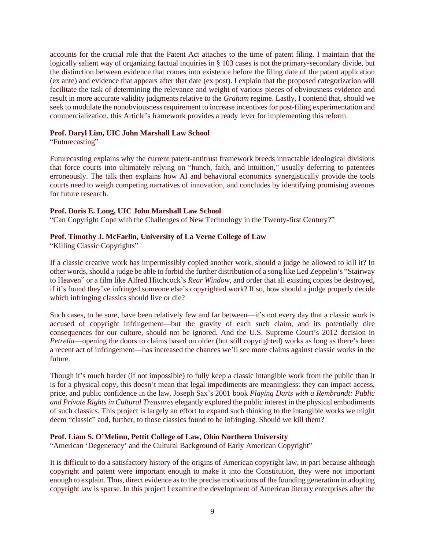accounts for the crucial role that the Patent Act attaches to the time of patent filing. I maintain that the logically salient way of organizing factual inquiries in § 103 cases is not the primary-secondary divide, but the distinction between evidence that comes into existence before the filing date of the patent application (ex ante) and evidence that appears after that date (ex post). I explain that the proposed categorization will facilitate the task of determining the relevance and weight of various pieces of obviousness evidence and result in more accurate validity judgments relative to the *Graham* regime. Lastly, I contend that, should we seek to modulate the nonobviousness requirement to increase incentives for post-filing experimentation and commercialization, this Article's framework provides a ready lever for implementing this reform.

#### **Prof. Daryl Lim, UIC John Marshall Law School**

"Futurecasting"

Futurecasting explains why the current patent-antitrust framework breeds intractable ideological divisions that force courts into ultimately relying on "hunch, faith, and intuition," usually deferring to patentees erroneously. The talk then explains how AI and behavioral economics synergistically provide the tools courts need to weigh competing narratives of innovation, and concludes by identifying promising avenues for future research.

# **Prof. Doris E. Long, UIC John Marshall Law School**

"Can Copyright Cope with the Challenges of New Technology in the Twenty-first Century?"

# **Prof. Timothy J. McFarlin, University of La Verne College of Law**

"Killing Classic Copyrights"

If a classic creative work has impermissibly copied another work, should a judge be allowed to kill it? In other words, should a judge be able to forbid the further distribution of a song like Led Zeppelin's "Stairway to Heaven" or a film like Alfred Hitchcock's *Rear Window*, and order that all existing copies be destroyed, if it's found they've infringed someone else's copyrighted work? If so, how should a judge properly decide which infringing classics should live or die?

Such cases, to be sure, have been relatively few and far between—it's not every day that a classic work is accused of copyright infringement—but the gravity of each such claim, and its potentially dire consequences for our culture, should not be ignored. And the U.S. Supreme Court's 2012 decision in *Petrella*—opening the doors to claims based on older (but still copyrighted) works as long as there's been a recent act of infringement—has increased the chances we'll see more claims against classic works in the future.

Though it's much harder (if not impossible) to fully keep a classic intangible work from the public than it is for a physical copy, this doesn't mean that legal impediments are meaningless: they can impact access, price, and public confidence in the law. Joseph Sax's 2001 book *Playing Darts with a Rembrandt: Public and Private Rights in Cultural Treasures* elegantly explored the public interest in the physical embodiments of such classics. This project is largely an effort to expand such thinking to the intangible works we might deem "classic" and, further, to those classics found to be infringing. Should we kill them?

## **Prof. Liam S. O'Melinn, Pettit College of Law, Ohio Northern University**

"American 'Degeneracy' and the Cultural Background of Early American Copyright"

It is difficult to do a satisfactory history of the origins of American copyright law, in part because although copyright and patent were important enough to make it into the Constitution, they were not important enough to explain. Thus, direct evidence as to the precise motivations of the founding generation in adopting copyright law is sparse. In this project I examine the development of American literary enterprises after the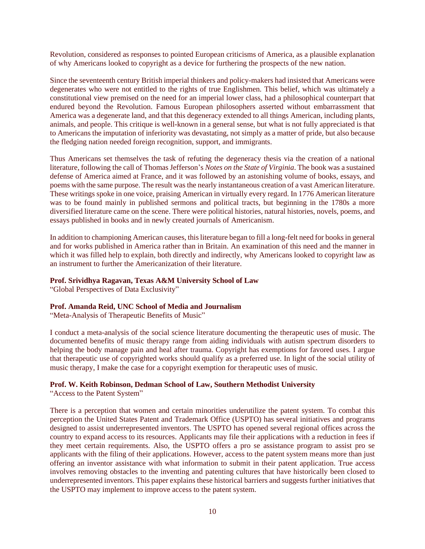Revolution, considered as responses to pointed European criticisms of America, as a plausible explanation of why Americans looked to copyright as a device for furthering the prospects of the new nation.

Since the seventeenth century British imperial thinkers and policy-makers had insisted that Americans were degenerates who were not entitled to the rights of true Englishmen. This belief, which was ultimately a constitutional view premised on the need for an imperial lower class, had a philosophical counterpart that endured beyond the Revolution. Famous European philosophers asserted without embarrassment that America was a degenerate land, and that this degeneracy extended to all things American, including plants, animals, and people. This critique is well-known in a general sense, but what is not fully appreciated is that to Americans the imputation of inferiority was devastating, not simply as a matter of pride, but also because the fledging nation needed foreign recognition, support, and immigrants.

Thus Americans set themselves the task of refuting the degeneracy thesis via the creation of a national literature, following the call of Thomas Jefferson's *Notes on the State of Virginia*. The book was a sustained defense of America aimed at France, and it was followed by an astonishing volume of books, essays, and poems with the same purpose. The result wasthe nearly instantaneous creation of a vast American literature. These writings spoke in one voice, praising American in virtually every regard. In 1776 American literature was to be found mainly in published sermons and political tracts, but beginning in the 1780s a more diversified literature came on the scene. There were political histories, natural histories, novels, poems, and essays published in books and in newly created journals of Americanism.

In addition to championing American causes, thisliterature began to fill a long-felt need for booksin general and for works published in America rather than in Britain. An examination of this need and the manner in which it was filled help to explain, both directly and indirectly, why Americans looked to copyright law as an instrument to further the Americanization of their literature.

# **Prof. Srividhya Ragavan, Texas A&M University School of Law**

"Global Perspectives of Data Exclusivity"

## **Prof. Amanda Reid, UNC School of Media and Journalism**

"Meta-Analysis of Therapeutic Benefits of Music"

I conduct a meta-analysis of the social science literature documenting the therapeutic uses of music. The documented benefits of music therapy range from aiding individuals with autism spectrum disorders to helping the body manage pain and heal after trauma. Copyright has exemptions for favored uses. I argue that therapeutic use of copyrighted works should qualify as a preferred use. In light of the social utility of music therapy, I make the case for a copyright exemption for therapeutic uses of music.

## **Prof. W. Keith Robinson, Dedman School of Law, Southern Methodist University**

"Access to the Patent System"

There is a perception that women and certain minorities underutilize the patent system. To combat this perception the United States Patent and Trademark Office (USPTO) has several initiatives and programs designed to assist underrepresented inventors. The USPTO has opened several regional offices across the country to expand access to its resources. Applicants may file their applications with a reduction in fees if they meet certain requirements. Also, the USPTO offers a pro se assistance program to assist pro se applicants with the filing of their applications. However, access to the patent system means more than just offering an inventor assistance with what information to submit in their patent application. True access involves removing obstacles to the inventing and patenting cultures that have historically been closed to underrepresented inventors. This paper explains these historical barriers and suggests further initiatives that the USPTO may implement to improve access to the patent system.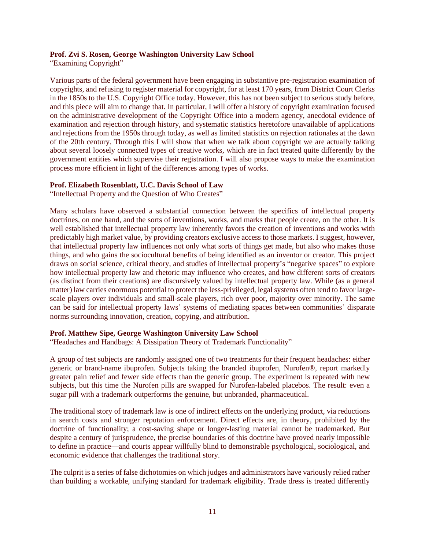#### **Prof. Zvi S. Rosen, George Washington University Law School**

"Examining Copyright"

Various parts of the federal government have been engaging in substantive pre-registration examination of copyrights, and refusing to register material for copyright, for at least 170 years, from District Court Clerks in the 1850s to the U.S. Copyright Office today. However, this has not been subject to serious study before, and this piece will aim to change that. In particular, I will offer a history of copyright examination focused on the administrative development of the Copyright Office into a modern agency, anecdotal evidence of examination and rejection through history, and systematic statistics heretofore unavailable of applications and rejections from the 1950s through today, as well as limited statistics on rejection rationales at the dawn of the 20th century. Through this I will show that when we talk about copyright we are actually talking about several loosely connected types of creative works, which are in fact treated quite differently by the government entities which supervise their registration. I will also propose ways to make the examination process more efficient in light of the differences among types of works.

### **Prof. Elizabeth Rosenblatt, U.C. Davis School of Law**

"Intellectual Property and the Question of Who Creates"

Many scholars have observed a substantial connection between the specifics of intellectual property doctrines, on one hand, and the sorts of inventions, works, and marks that people create, on the other. It is well established that intellectual property law inherently favors the creation of inventions and works with predictably high market value, by providing creators exclusive access to those markets. I suggest, however, that intellectual property law influences not only what sorts of things get made, but also who makes those things, and who gains the sociocultural benefits of being identified as an inventor or creator. This project draws on social science, critical theory, and studies of intellectual property's "negative spaces" to explore how intellectual property law and rhetoric may influence who creates, and how different sorts of creators (as distinct from their creations) are discursively valued by intellectual property law. While (as a general matter) law carries enormous potential to protect the less-privileged, legal systems often tend to favor largescale players over individuals and small-scale players, rich over poor, majority over minority. The same can be said for intellectual property laws' systems of mediating spaces between communities' disparate norms surrounding innovation, creation, copying, and attribution.

# **Prof. Matthew Sipe, George Washington University Law School**

"Headaches and Handbags: A Dissipation Theory of Trademark Functionality"

A group of test subjects are randomly assigned one of two treatments for their frequent headaches: either generic or brand-name ibuprofen. Subjects taking the branded ibuprofen, Nurofen®, report markedly greater pain relief and fewer side effects than the generic group. The experiment is repeated with new subjects, but this time the Nurofen pills are swapped for Nurofen-labeled placebos. The result: even a sugar pill with a trademark outperforms the genuine, but unbranded, pharmaceutical.

The traditional story of trademark law is one of indirect effects on the underlying product, via reductions in search costs and stronger reputation enforcement. Direct effects are, in theory, prohibited by the doctrine of functionality; a cost-saving shape or longer-lasting material cannot be trademarked. But despite a century of jurisprudence, the precise boundaries of this doctrine have proved nearly impossible to define in practice—and courts appear willfully blind to demonstrable psychological, sociological, and economic evidence that challenges the traditional story.

The culprit is a series of false dichotomies on which judges and administrators have variously relied rather than building a workable, unifying standard for trademark eligibility. Trade dress is treated differently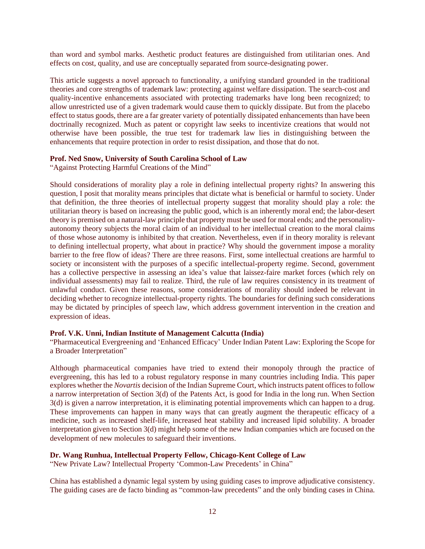than word and symbol marks. Aesthetic product features are distinguished from utilitarian ones. And effects on cost, quality, and use are conceptually separated from source-designating power.

This article suggests a novel approach to functionality, a unifying standard grounded in the traditional theories and core strengths of trademark law: protecting against welfare dissipation. The search-cost and quality-incentive enhancements associated with protecting trademarks have long been recognized; to allow unrestricted use of a given trademark would cause them to quickly dissipate. But from the placebo effect to status goods, there are a far greater variety of potentially dissipated enhancements than have been doctrinally recognized. Much as patent or copyright law seeks to incentivize creations that would not otherwise have been possible, the true test for trademark law lies in distinguishing between the enhancements that require protection in order to resist dissipation, and those that do not.

#### **Prof. Ned Snow, University of South Carolina School of Law**

"Against Protecting Harmful Creations of the Mind"

Should considerations of morality play a role in defining intellectual property rights? In answering this question, I posit that morality means principles that dictate what is beneficial or harmful to society. Under that definition, the three theories of intellectual property suggest that morality should play a role: the utilitarian theory is based on increasing the public good, which is an inherently moral end; the labor-desert theory is premised on a natural-law principle that property must be used for moral ends; and the personalityautonomy theory subjects the moral claim of an individual to her intellectual creation to the moral claims of those whose autonomy is inhibited by that creation. Nevertheless, even if in theory morality is relevant to defining intellectual property, what about in practice? Why should the government impose a morality barrier to the free flow of ideas? There are three reasons. First, some intellectual creations are harmful to society or inconsistent with the purposes of a specific intellectual-property regime. Second, government has a collective perspective in assessing an idea's value that laissez-faire market forces (which rely on individual assessments) may fail to realize. Third, the rule of law requires consistency in its treatment of unlawful conduct. Given these reasons, some considerations of morality should indeed be relevant in deciding whether to recognize intellectual-property rights. The boundaries for defining such considerations may be dictated by principles of speech law, which address government intervention in the creation and expression of ideas.

#### **Prof. V.K. Unni, Indian Institute of Management Calcutta (India)**

"Pharmaceutical Evergreening and 'Enhanced Efficacy' Under Indian Patent Law: Exploring the Scope for a Broader Interpretation"

Although pharmaceutical companies have tried to extend their monopoly through the practice of evergreening, this has led to a robust regulatory response in many countries including India. This paper explores whether the *Novartis* decision of the Indian Supreme Court, which instructs patent offices to follow a narrow interpretation of Section 3(d) of the Patents Act, is good for India in the long run. When Section 3(d) is given a narrow interpretation, it is eliminating potential improvements which can happen to a drug. These improvements can happen in many ways that can greatly augment the therapeutic efficacy of a medicine, such as increased shelf-life, increased heat stability and increased lipid solubility. A broader interpretation given to Section 3(d) might help some of the new Indian companies which are focused on the development of new molecules to safeguard their inventions.

## **Dr. Wang Runhua, Intellectual Property Fellow, Chicago-Kent College of Law**

"New Private Law? Intellectual Property 'Common-Law Precedents' in China"

China has established a dynamic legal system by using guiding cases to improve adjudicative consistency. The guiding cases are de facto binding as "common-law precedents" and the only binding cases in China.